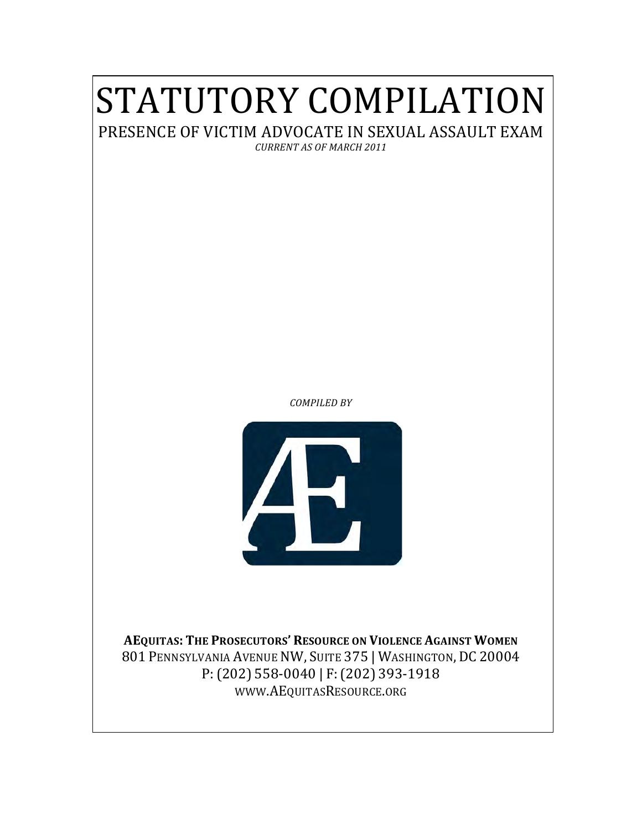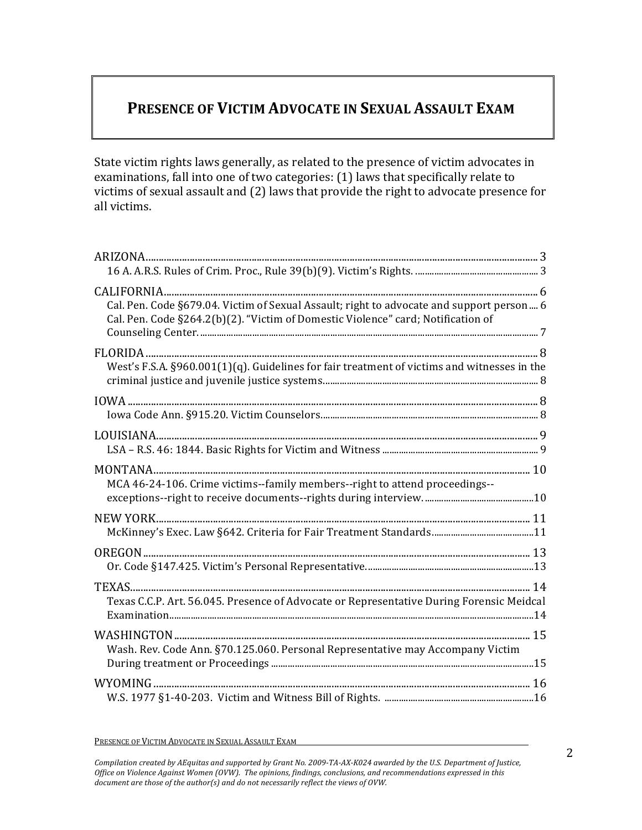# PRESENCE OF VICTIM ADVOCATE IN SEXUAL ASSAULT EXAM

State victim rights laws generally, as related to the presence of victim advocates in examinations, fall into one of two categories: (1) laws that specifically relate to victims of sexual assault and (2) laws that provide the right to advocate presence for all victims.

| Cal. Pen. Code §679.04. Victim of Sexual Assault; right to advocate and support person 6    |  |
|---------------------------------------------------------------------------------------------|--|
| Cal. Pen. Code §264.2(b)(2). "Victim of Domestic Violence" card; Notification of            |  |
|                                                                                             |  |
|                                                                                             |  |
| West's F.S.A. §960.001(1)(q). Guidelines for fair treatment of victims and witnesses in the |  |
|                                                                                             |  |
|                                                                                             |  |
|                                                                                             |  |
|                                                                                             |  |
|                                                                                             |  |
| MCA 46-24-106. Crime victims--family members--right to attend proceedings--                 |  |
|                                                                                             |  |
|                                                                                             |  |
|                                                                                             |  |
|                                                                                             |  |
|                                                                                             |  |
| Texas C.C.P. Art. 56.045. Presence of Advocate or Representative During Forensic Meidcal    |  |
|                                                                                             |  |
| Wash. Rev. Code Ann. §70.125.060. Personal Representative may Accompany Victim              |  |
|                                                                                             |  |
|                                                                                             |  |
|                                                                                             |  |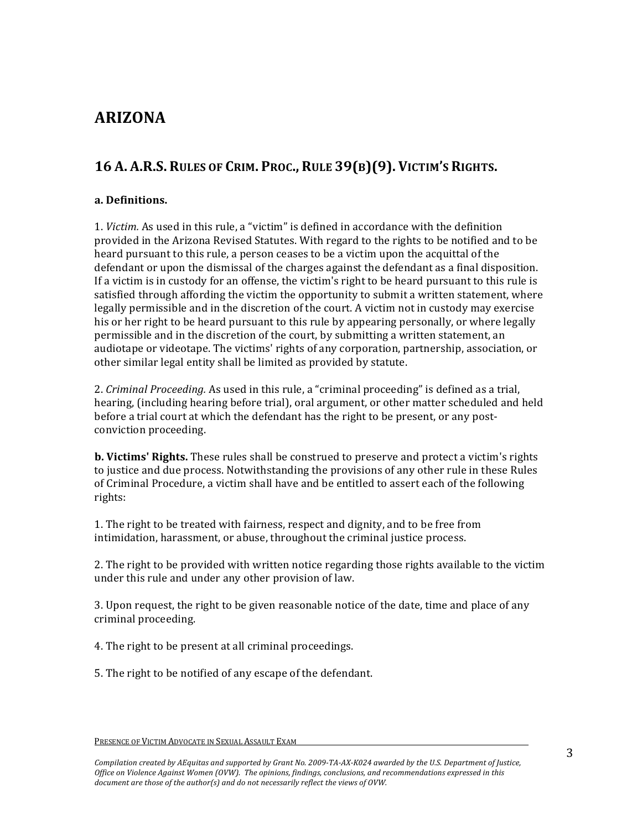# **ARIZONA**

## **16 A. A.R.S. RULES)OF)CRIM. PROC., RULE)39(B)(9). VICTIM'S)RIGHTS.**

#### **a.)Definitions.**

1. *Victim.* As used in this rule, a "victim" is defined in accordance with the definition provided in the Arizona Revised Statutes. With regard to the rights to be notified and to be heard pursuant to this rule, a person ceases to be a victim upon the acquittal of the defendant or upon the dismissal of the charges against the defendant as a final disposition. If a victim is in custody for an offense, the victim's right to be heard pursuant to this rule is satisfied through affording the victim the opportunity to submit a written statement, where legally permissible and in the discretion of the court. A victim not in custody may exercise his or her right to be heard pursuant to this rule by appearing personally, or where legally permissible and in the discretion of the court, by submitting a written statement, an audiotape or videotape. The victims' rights of any corporation, partnership, association, or other similar legal entity shall be limited as provided by statute.

2. *Criminal Proceeding.* As used in this rule, a "criminal proceeding" is defined as a trial, hearing, (including hearing before trial), oral argument, or other matter scheduled and held before a trial court at which the defendant has the right to be present, or any postconviction proceeding.

**b. Victims' Rights.** These rules shall be construed to preserve and protect a victim's rights to justice and due process. Notwithstanding the provisions of any other rule in these Rules of Criminal Procedure, a victim shall have and be entitled to assert each of the following rights:

1. The right to be treated with fairness, respect and dignity, and to be free from intimidation, harassment, or abuse, throughout the criminal justice process.

2. The right to be provided with written notice regarding those rights available to the victim under this rule and under any other provision of law.

3. Upon request, the right to be given reasonable notice of the date, time and place of any criminal proceeding.

4. The right to be present at all criminal proceedings.

5. The right to be notified of any escape of the defendant.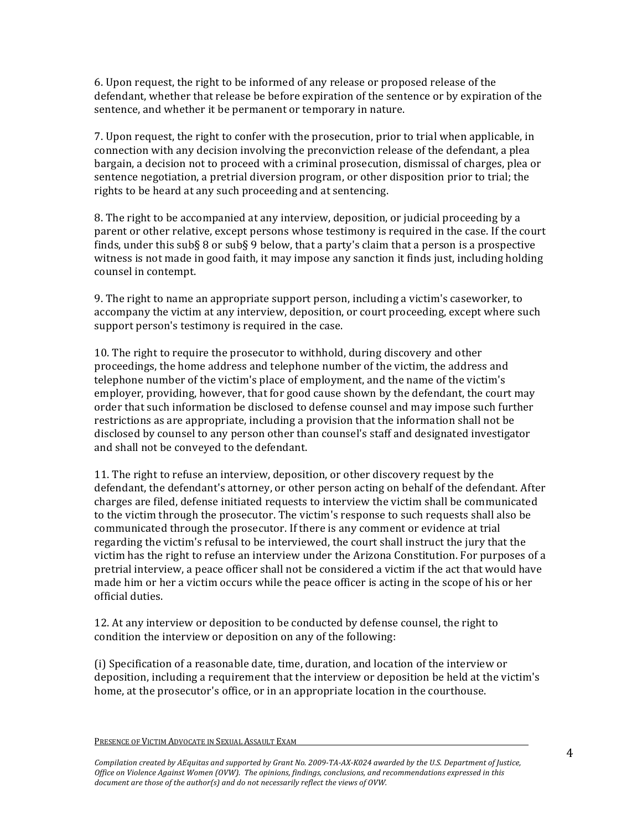6. Upon request, the right to be informed of any release or proposed release of the defendant, whether that release be before expiration of the sentence or by expiration of the sentence, and whether it be permanent or temporary in nature.

7. Upon request, the right to confer with the prosecution, prior to trial when applicable, in connection with any decision involving the preconviction release of the defendant, a plea bargain, a decision not to proceed with a criminal prosecution, dismissal of charges, plea or sentence negotiation, a pretrial diversion program, or other disposition prior to trial; the rights to be heard at any such proceeding and at sentencing.

8. The right to be accompanied at any interview, deposition, or judicial proceeding by a parent or other relative, except persons whose testimony is required in the case. If the court finds, under this sub§ 8 or sub§ 9 below, that a party's claim that a person is a prospective witness is not made in good faith, it may impose any sanction it finds just, including holding counsel in contempt.

9. The right to name an appropriate support person, including a victim's caseworker, to accompany the victim at any interview, deposition, or court proceeding, except where such support person's testimony is required in the case.

10. The right to require the prosecutor to withhold, during discovery and other proceedings, the home address and telephone number of the victim, the address and telephone number of the victim's place of employment, and the name of the victim's employer, providing, however, that for good cause shown by the defendant, the court may order that such information be disclosed to defense counsel and may impose such further restrictions as are appropriate, including a provision that the information shall not be disclosed by counsel to any person other than counsel's staff and designated investigator and shall not be conveyed to the defendant.

11. The right to refuse an interview, deposition, or other discovery request by the defendant, the defendant's attorney, or other person acting on behalf of the defendant. After charges are filed, defense initiated requests to interview the victim shall be communicated to the victim through the prosecutor. The victim's response to such requests shall also be communicated through the prosecutor. If there is any comment or evidence at trial regarding the victim's refusal to be interviewed, the court shall instruct the jury that the victim has the right to refuse an interview under the Arizona Constitution. For purposes of a pretrial interview, a peace officer shall not be considered a victim if the act that would have made him or her a victim occurs while the peace officer is acting in the scope of his or her official duties.

12. At any interview or deposition to be conducted by defense counsel, the right to condition the interview or deposition on any of the following:

(i) Specification of a reasonable date, time, duration, and location of the interview or deposition, including a requirement that the interview or deposition be held at the victim's home, at the prosecutor's office, or in an appropriate location in the courthouse.

PRESENCE OF VICTIM ADVOCATE IN SEXUAL ASSAULT EXAM

Compilation created by AEquitas and supported by Grant No. 2009-TA-AX-K024 awarded by the U.S. Department of Justice, *Office on Violence Against Women (OVW). The opinions, findings, conclusions, and recommendations expressed in this* document are those of the author(s) and do not necessarily reflect the views of OVW.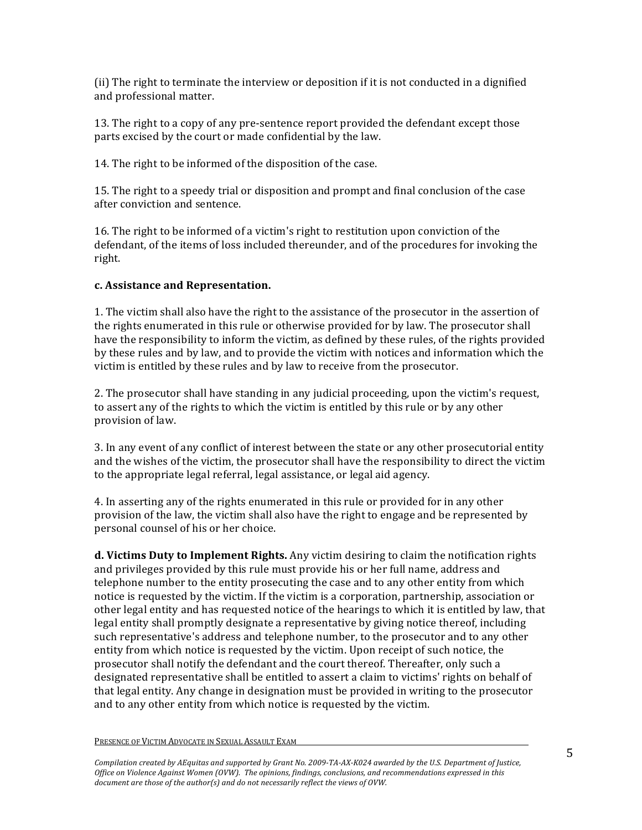(ii) The right to terminate the interview or deposition if it is not conducted in a dignified and professional matter.

13. The right to a copy of any pre-sentence report provided the defendant except those parts excised by the court or made confidential by the law.

14. The right to be informed of the disposition of the case.

15. The right to a speedy trial or disposition and prompt and final conclusion of the case after conviction and sentence.

16. The right to be informed of a victim's right to restitution upon conviction of the defendant, of the items of loss included thereunder, and of the procedures for invoking the right.

#### **c.)Assistance)and)Representation.**

1. The victim shall also have the right to the assistance of the prosecutor in the assertion of the rights enumerated in this rule or otherwise provided for by law. The prosecutor shall have the responsibility to inform the victim, as defined by these rules, of the rights provided by these rules and by law, and to provide the victim with notices and information which the victim is entitled by these rules and by law to receive from the prosecutor.

2. The prosecutor shall have standing in any judicial proceeding, upon the victim's request, to assert any of the rights to which the victim is entitled by this rule or by any other provision of law.

3. In any event of any conflict of interest between the state or any other prosecutorial entity and the wishes of the victim, the prosecutor shall have the responsibility to direct the victim to the appropriate legal referral, legal assistance, or legal aid agency.

4. In asserting any of the rights enumerated in this rule or provided for in any other provision of the law, the victim shall also have the right to engage and be represented by personal counsel of his or her choice.

**d. Victims Duty to Implement Rights.** Any victim desiring to claim the notification rights and privileges provided by this rule must provide his or her full name, address and telephone number to the entity prosecuting the case and to any other entity from which notice is requested by the victim. If the victim is a corporation, partnership, association or other legal entity and has requested notice of the hearings to which it is entitled by law, that legal entity shall promptly designate a representative by giving notice thereof, including such representative's address and telephone number, to the prosecutor and to any other entity from which notice is requested by the victim. Upon receipt of such notice, the prosecutor shall notify the defendant and the court thereof. Thereafter, only such a designated representative shall be entitled to assert a claim to victims' rights on behalf of that legal entity. Any change in designation must be provided in writing to the prosecutor and to any other entity from which notice is requested by the victim.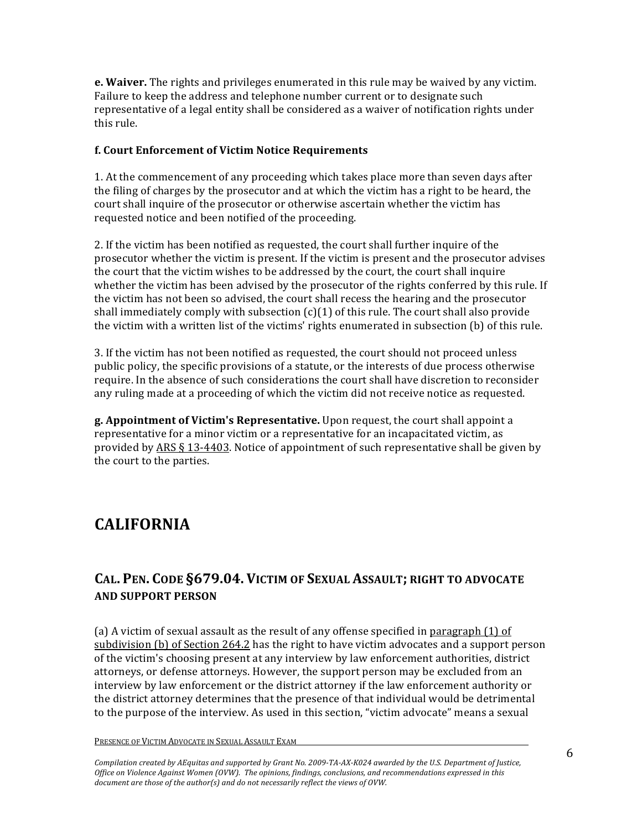**e. Waiver.** The rights and privileges enumerated in this rule may be waived by any victim. Failure to keep the address and telephone number current or to designate such representative of a legal entity shall be considered as a waiver of notification rights under this rule.

#### **f.)Court)Enforcement)of)Victim)Notice)Requirements**

1. At the commencement of any proceeding which takes place more than seven days after the filing of charges by the prosecutor and at which the victim has a right to be heard, the court shall inquire of the prosecutor or otherwise ascertain whether the victim has requested notice and been notified of the proceeding.

2. If the victim has been notified as requested, the court shall further inquire of the prosecutor whether the victim is present. If the victim is present and the prosecutor advises the court that the victim wishes to be addressed by the court, the court shall inquire whether the victim has been advised by the prosecutor of the rights conferred by this rule. If the victim has not been so advised, the court shall recess the hearing and the prosecutor shall immediately comply with subsection  $(c)(1)$  of this rule. The court shall also provide the victim with a written list of the victims' rights enumerated in subsection (b) of this rule.

3. If the victim has not been notified as requested, the court should not proceed unless public policy, the specific provisions of a statute, or the interests of due process otherwise require. In the absence of such considerations the court shall have discretion to reconsider any ruling made at a proceeding of which the victim did not receive notice as requested.

**g. Appointment of Victim's Representative.** Upon request, the court shall appoint a representative for a minor victim or a representative for an incapacitated victim, as provided by ARS  $\S$  13-4403. Notice of appointment of such representative shall be given by the court to the parties.

# **CALIFORNIA**

### **CAL. PEN. CODE)§679.04. VICTIM)OF)SEXUAL)ASSAULT;)RIGHT)TO)ADVOCATE) AND SUPPORT PERSON**

(a) A victim of sexual assault as the result of any offense specified in paragraph  $(1)$  of subdivision (b) of Section 264.2 has the right to have victim advocates and a support person of the victim's choosing present at any interview by law enforcement authorities, district attorneys, or defense attorneys. However, the support person may be excluded from an interview by law enforcement or the district attorney if the law enforcement authority or the district attorney determines that the presence of that individual would be detrimental to the purpose of the interview. As used in this section, "victim advocate" means a sexual

#### PRESENCE OF VICTIM ADVOCATE IN SEXUAL ASSAULT EXAM

Compilation created by AEquitas and supported by Grant No. 2009-TA-AX-K024 awarded by the U.S. Department of Justice, *Office'on'Violence'Against'Women'(OVW).' The'opinions,'findings,'conclusions,'and'recommendations'expressed'in'this'* document are those of the author(s) and do not necessarily reflect the views of OVW.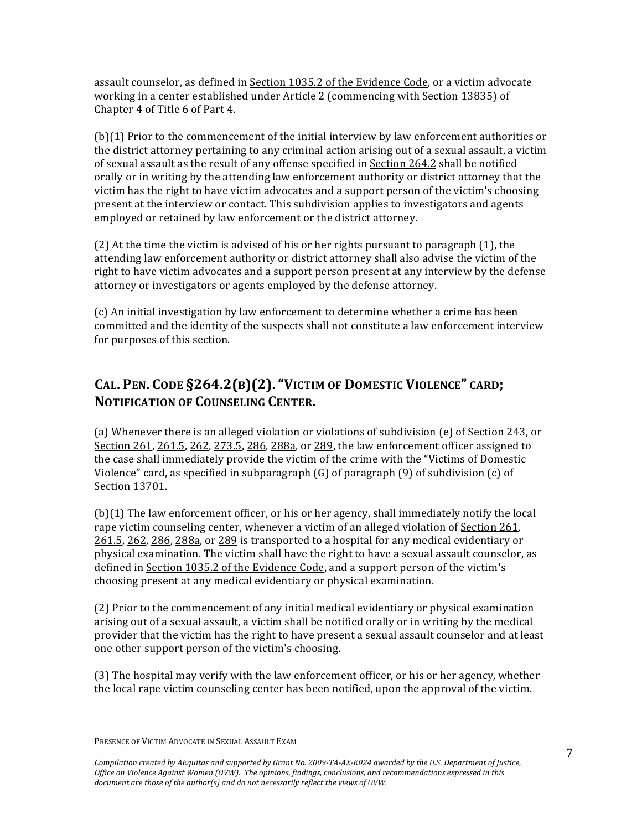assault counselor, as defined in Section 1035.2 of the Evidence Code, or a victim advocate working in a center established under Article 2 (commencing with Section 13835) of Chapter 4 of Title 6 of Part 4.

 $(b)(1)$  Prior to the commencement of the initial interview by law enforcement authorities or the district attorney pertaining to any criminal action arising out of a sexual assault, a victim of sexual assault as the result of any offense specified in Section  $264.2$  shall be notified orally or in writing by the attending law enforcement authority or district attorney that the victim has the right to have victim advocates and a support person of the victim's choosing present at the interview or contact. This subdivision applies to investigators and agents employed or retained by law enforcement or the district attorney.

(2) At the time the victim is advised of his or her rights pursuant to paragraph (1), the attending law enforcement authority or district attorney shall also advise the victim of the right to have victim advocates and a support person present at any interview by the defense attorney or investigators or agents employed by the defense attorney.

 $(c)$  An initial investigation by law enforcement to determine whether a crime has been committed and the identity of the suspects shall not constitute a law enforcement interview for purposes of this section.

## CAL. PEN. CODE §264.2(B)(2). "VICTIM OF DOMESTIC VIOLENCE" CARD; **NOTIFICATION OF COUNSELING CENTER.**

(a) Whenever there is an alleged violation or violations of subdivision (e) of Section 243, or Section 261, 261.5, 262, 273.5, 286, 288a, or 289, the law enforcement officer assigned to the case shall immediately provide the victim of the crime with the "Victims of Domestic" Violence" card, as specified in subparagraph  $(G)$  of paragraph  $(9)$  of subdivision  $(c)$  of Section 13701.

 $(b)(1)$  The law enforcement officer, or his or her agency, shall immediately notify the local rape victim counseling center, whenever a victim of an alleged violation of Section 261, 261.5, 262, 286, 288a, or 289 is transported to a hospital for any medical evidentiary or physical examination. The victim shall have the right to have a sexual assault counselor, as defined in Section 1035.2 of the Evidence Code, and a support person of the victim's choosing present at any medical evidentiary or physical examination.

 $(2)$  Prior to the commencement of any initial medical evidentiary or physical examination arising out of a sexual assault, a victim shall be notified orally or in writing by the medical provider that the victim has the right to have present a sexual assault counselor and at least one other support person of the victim's choosing.

(3) The hospital may verify with the law enforcement officer, or his or her agency, whether the local rape victim counseling center has been notified, upon the approval of the victim.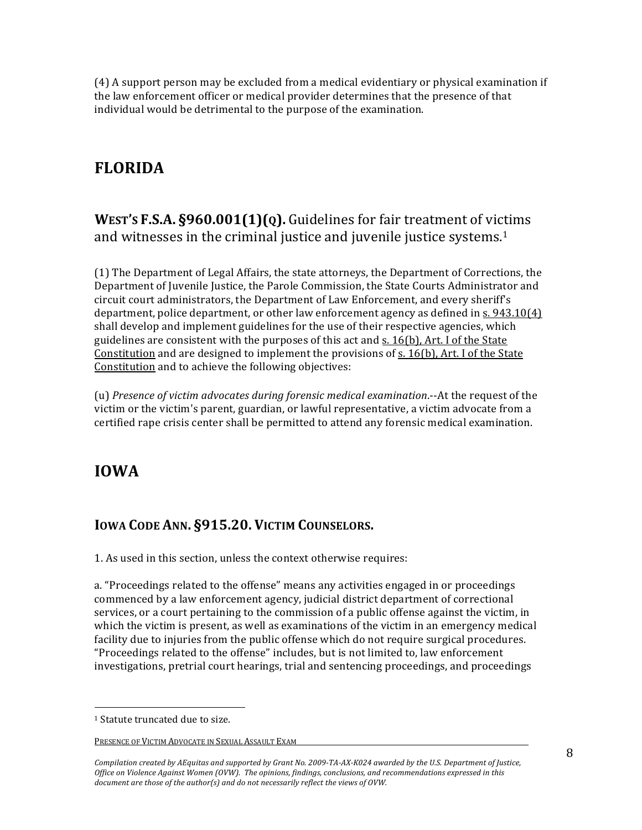$(4)$  A support person may be excluded from a medical evidentiary or physical examination if the law enforcement officer or medical provider determines that the presence of that individual would be detrimental to the purpose of the examination.

# **FLORIDA**

**WEST'S F.S.A. §960.001(1)(Q).** Guidelines for fair treatment of victims and witnesses in the criminal justice and juvenile justice systems. $1$ 

 $(1)$  The Department of Legal Affairs, the state attorneys, the Department of Corrections, the Department of Juvenile Justice, the Parole Commission, the State Courts Administrator and circuit court administrators, the Department of Law Enforcement, and every sheriff's department, police department, or other law enforcement agency as defined in  $s.943.10(4)$ shall develop and implement guidelines for the use of their respective agencies, which guidelines are consistent with the purposes of this act and s. 16(b), Art. I of the State Constitution and are designed to implement the provisions of s. 16(b), Art. I of the State Constitution and to achieve the following objectives:

(u) *Presence of victim advocates during forensic medical examination*.-At the request of the victim or the victim's parent, guardian, or lawful representative, a victim advocate from a certified rape crisis center shall be permitted to attend any forensic medical examination.

# **IOWA**

### **IOWA CODE ANN. §915.20. VICTIM COUNSELORS.**

1. As used in this section, unless the context otherwise requires:

a. "Proceedings related to the offense" means any activities engaged in or proceedings commenced by a law enforcement agency, judicial district department of correctional services, or a court pertaining to the commission of a public offense against the victim, in which the victim is present, as well as examinations of the victim in an emergency medical facility due to injuries from the public offense which do not require surgical procedures. "Proceedings related to the offense" includes, but is not limited to, law enforcement investigations, pretrial court hearings, trial and sentencing proceedings, and proceedings

(((((((((((((((((((((((((((((((((((((((((((((((((((((((

Compilation created by AEquitas and supported by Grant No. 2009-TA-AX-K024 awarded by the U.S. Department of Justice, *Office on Violence Against Women (OVW). The opinions, findings, conclusions, and recommendations expressed in this* document are those of the author(s) and do not necessarily reflect the views of OVW.

<sup>&</sup>lt;sup>1</sup> Statute truncated due to size.

PRESENCE OF VICTIM ADVOCATE IN SEXUAL ASSAULT EXAM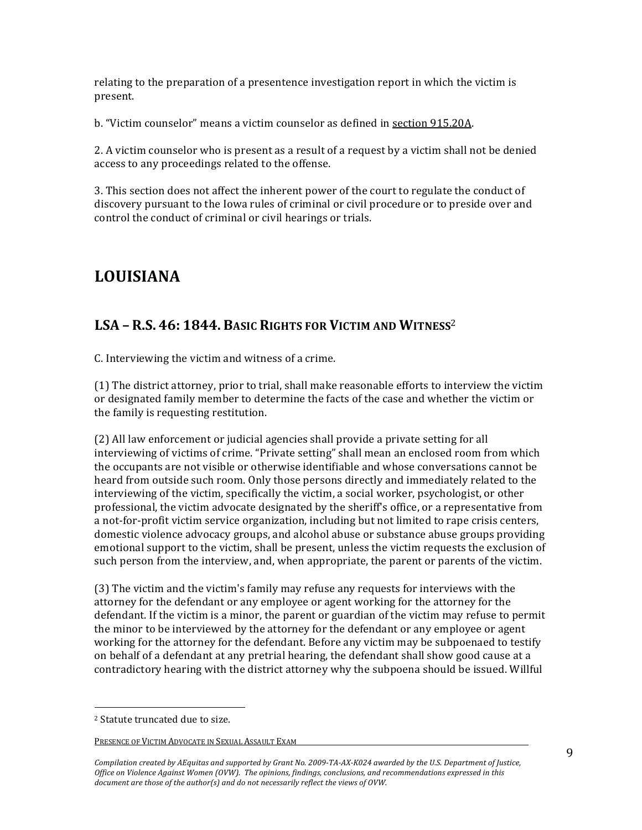relating to the preparation of a presentence investigation report in which the victim is present.

b. "Victim counselor" means a victim counselor as defined in section 915.20A.

2. A victim counselor who is present as a result of a request by a victim shall not be denied access to any proceedings related to the offense.

3. This section does not affect the inherent power of the court to regulate the conduct of discovery pursuant to the Iowa rules of criminal or civil procedure or to preside over and control the conduct of criminal or civil hearings or trials.

# **LOUISIANA**

### **LSA – R.S. 46: 1844. BASIC)RIGHTS)FOR)VICTIM)AND)WITNESS**<sup>2</sup>

C. Interviewing the victim and witness of a crime.

 $(1)$  The district attorney, prior to trial, shall make reasonable efforts to interview the victim or designated family member to determine the facts of the case and whether the victim or the family is requesting restitution.

 $(2)$  All law enforcement or judicial agencies shall provide a private setting for all interviewing of victims of crime. "Private setting" shall mean an enclosed room from which the occupants are not visible or otherwise identifiable and whose conversations cannot be heard from outside such room. Only those persons directly and immediately related to the interviewing of the victim, specifically the victim, a social worker, psychologist, or other professional, the victim advocate designated by the sheriff's office, or a representative from a not-for-profit victim service organization, including but not limited to rape crisis centers, domestic violence advocacy groups, and alcohol abuse or substance abuse groups providing emotional support to the victim, shall be present, unless the victim requests the exclusion of such person from the interview, and, when appropriate, the parent or parents of the victim.

(3) The victim and the victim's family may refuse any requests for interviews with the attorney for the defendant or any employee or agent working for the attorney for the defendant. If the victim is a minor, the parent or guardian of the victim may refuse to permit the minor to be interviewed by the attorney for the defendant or any employee or agent working for the attorney for the defendant. Before any victim may be subpoenaed to testify on behalf of a defendant at any pretrial hearing, the defendant shall show good cause at a contradictory hearing with the district attorney why the subpoena should be issued. Willful

(((((((((((((((((((((((((((((((((((((((((((((((((((((((

<sup>&</sup>lt;sup>2</sup> Statute truncated due to size.

PRESENCE OF VICTIM ADVOCATE IN SEXUAL ASSAULT EXAM

Compilation created by AEquitas and supported by Grant No. 2009-TA-AX-K024 awarded by the U.S. Department of Justice, *Office on Violence Against Women (OVW). The opinions, findings, conclusions, and recommendations expressed in this* document are those of the author(s) and do not necessarily reflect the views of OVW.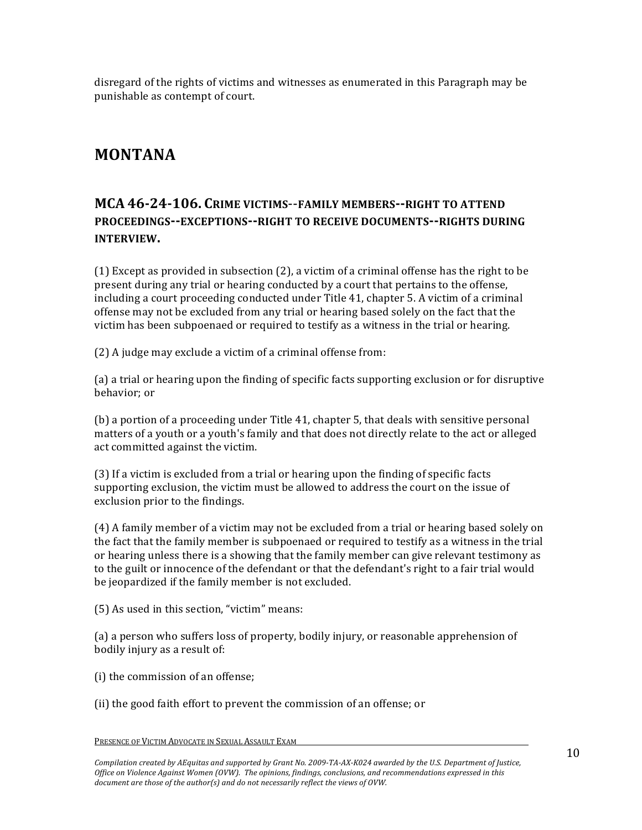disregard of the rights of victims and witnesses as enumerated in this Paragraph may be punishable as contempt of court.

# **MONTANA**

### **MCA** 46-24-106. CRIME VICTIMS--FAMILY MEMBERS--RIGHT TO ATTEND **PROCEEDINGS--EXCEPTIONS--RIGHT TO RECEIVE DOCUMENTS--RIGHTS DURING INTERVIEW.**

(1) Except as provided in subsection (2), a victim of a criminal offense has the right to be present during any trial or hearing conducted by a court that pertains to the offense, including a court proceeding conducted under Title 41, chapter 5. A victim of a criminal offense may not be excluded from any trial or hearing based solely on the fact that the victim has been subpoenaed or required to testify as a witness in the trial or hearing.

 $(2)$  A judge may exclude a victim of a criminal offense from:

(a) a trial or hearing upon the finding of specific facts supporting exclusion or for disruptive behavior; or

(b) a portion of a proceeding under Title  $41$ , chapter 5, that deals with sensitive personal matters of a youth or a youth's family and that does not directly relate to the act or alleged act committed against the victim.

 $(3)$  If a victim is excluded from a trial or hearing upon the finding of specific facts supporting exclusion, the victim must be allowed to address the court on the issue of exclusion prior to the findings.

 $(4)$  A family member of a victim may not be excluded from a trial or hearing based solely on the fact that the family member is subpoenaed or required to testify as a witness in the trial or hearing unless there is a showing that the family member can give relevant testimony as to the guilt or innocence of the defendant or that the defendant's right to a fair trial would be jeopardized if the family member is not excluded.

(5) As used in this section, "victim" means:

(a) a person who suffers loss of property, bodily injury, or reasonable apprehension of bodily injury as a result of:

(i) the commission of an offense;

(ii) the good faith effort to prevent the commission of an offense; or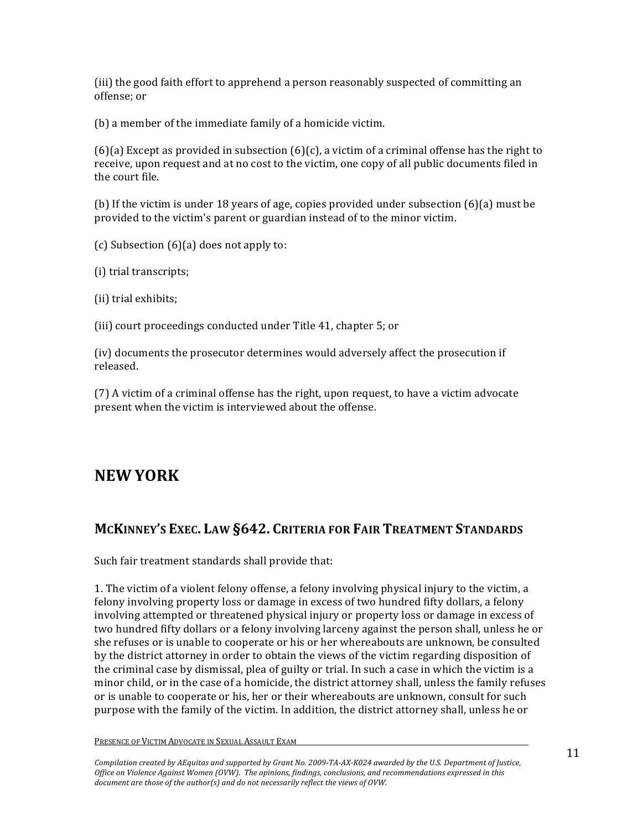(iii) the good faith effort to apprehend a person reasonably suspected of committing an offense; or

 $(b)$  a member of the immediate family of a homicide victim.

(6)(a) Except as provided in subsection (6)(c), a victim of a criminal offense has the right to receive, upon request and at no cost to the victim, one copy of all public documents filed in the court file.

(b) If the victim is under 18 years of age, copies provided under subsection (6)(a) must be provided to the victim's parent or guardian instead of to the minor victim.

(c) Subsection  $(6)(a)$  does not apply to:

(i) trial transcripts;

 $(i)$  trial exhibits;

(iii) court proceedings conducted under Title  $41$ , chapter  $5$ ; or

 $(iv)$  documents the prosecutor determines would adversely affect the prosecution if released.

(7) A victim of a criminal offense has the right, upon request, to have a victim advocate present when the victim is interviewed about the offense.

# **NEW YORK**

#### **MCKINNEY'S EXEC. LAW)§642. CRITERIA)FOR)FAIR)TREATMENT)STANDARDS**

Such fair treatment standards shall provide that:

1. The victim of a violent felony offense, a felony involving physical injury to the victim, a felony involving property loss or damage in excess of two hundred fifty dollars, a felony involving attempted or threatened physical injury or property loss or damage in excess of two hundred fifty dollars or a felony involving larceny against the person shall, unless he or she refuses or is unable to cooperate or his or her whereabouts are unknown, be consulted by the district attorney in order to obtain the views of the victim regarding disposition of the criminal case by dismissal, plea of guilty or trial. In such a case in which the victim is a minor child, or in the case of a homicide, the district attorney shall, unless the family refuses or is unable to cooperate or his, her or their whereabouts are unknown, consult for such purpose with the family of the victim. In addition, the district attorney shall, unless he or

PRESENCE OF VICTIM ADVOCATE IN SEXUAL ASSAULT EXAM

Compilation created by AEquitas and supported by Grant No. 2009-TA-AX-K024 awarded by the U.S. Department of Justice, *Office'on'Violence'Against'Women'(OVW).' The'opinions,'findings,'conclusions,'and'recommendations'expressed'in'this'* document are those of the author(s) and do not necessarily reflect the views of OVW.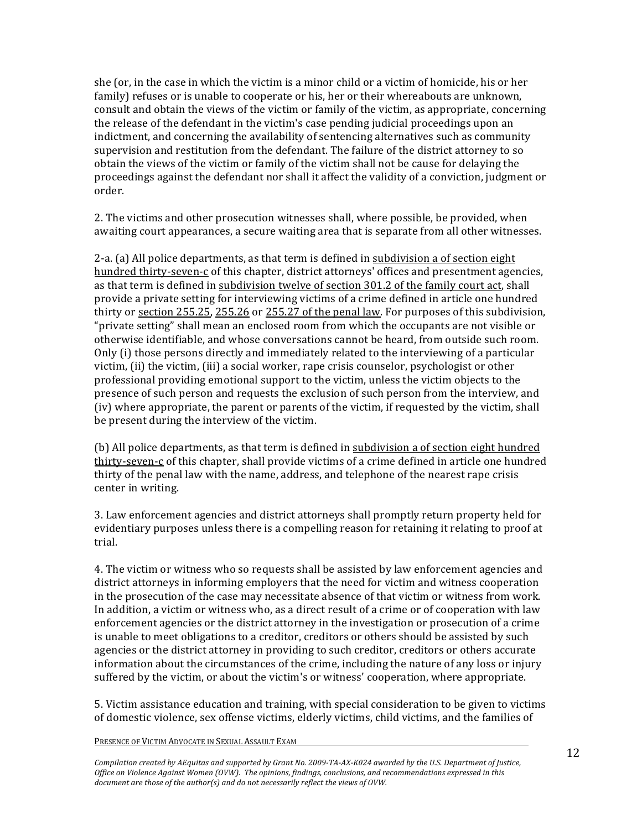she (or, in the case in which the victim is a minor child or a victim of homicide, his or her family) refuses or is unable to cooperate or his, her or their whereabouts are unknown, consult and obtain the views of the victim or family of the victim, as appropriate, concerning the release of the defendant in the victim's case pending judicial proceedings upon an indictment, and concerning the availability of sentencing alternatives such as community supervision and restitution from the defendant. The failure of the district attorney to so obtain the views of the victim or family of the victim shall not be cause for delaying the proceedings against the defendant nor shall it affect the validity of a conviction, judgment or order.

2. The victims and other prosecution witnesses shall, where possible, be provided, when awaiting court appearances, a secure waiting area that is separate from all other witnesses.

2-a. (a) All police departments, as that term is defined in subdivision a of section eight hundred thirty-seven-c of this chapter, district attorneys' offices and presentment agencies, as that term is defined in subdivision twelve of section 301.2 of the family court act, shall provide a private setting for interviewing victims of a crime defined in article one hundred thirty or section  $255.25$ ,  $255.26$  or  $255.27$  of the penal law. For purposes of this subdivision, "private setting" shall mean an enclosed room from which the occupants are not visible or otherwise identifiable, and whose conversations cannot be heard, from outside such room. Only (i) those persons directly and immediately related to the interviewing of a particular victim, (ii) the victim, (iii) a social worker, rape crisis counselor, psychologist or other professional providing emotional support to the victim, unless the victim objects to the presence of such person and requests the exclusion of such person from the interview, and (iv) where appropriate, the parent or parents of the victim, if requested by the victim, shall be present during the interview of the victim.

(b) All police departments, as that term is defined in subdivision a of section eight hundred thirty-seven-c of this chapter, shall provide victims of a crime defined in article one hundred thirty of the penal law with the name, address, and telephone of the nearest rape crisis center in writing.

3. Law enforcement agencies and district attorneys shall promptly return property held for evidentiary purposes unless there is a compelling reason for retaining it relating to proof at trial.

4. The victim or witness who so requests shall be assisted by law enforcement agencies and district attorneys in informing employers that the need for victim and witness cooperation in the prosecution of the case may necessitate absence of that victim or witness from work. In addition, a victim or witness who, as a direct result of a crime or of cooperation with law enforcement agencies or the district attorney in the investigation or prosecution of a crime is unable to meet obligations to a creditor, creditors or others should be assisted by such agencies or the district attorney in providing to such creditor, creditors or others accurate information about the circumstances of the crime, including the nature of any loss or injury suffered by the victim, or about the victim's or witness' cooperation, where appropriate.

5. Victim assistance education and training, with special consideration to be given to victims of domestic violence, sex offense victims, elderly victims, child victims, and the families of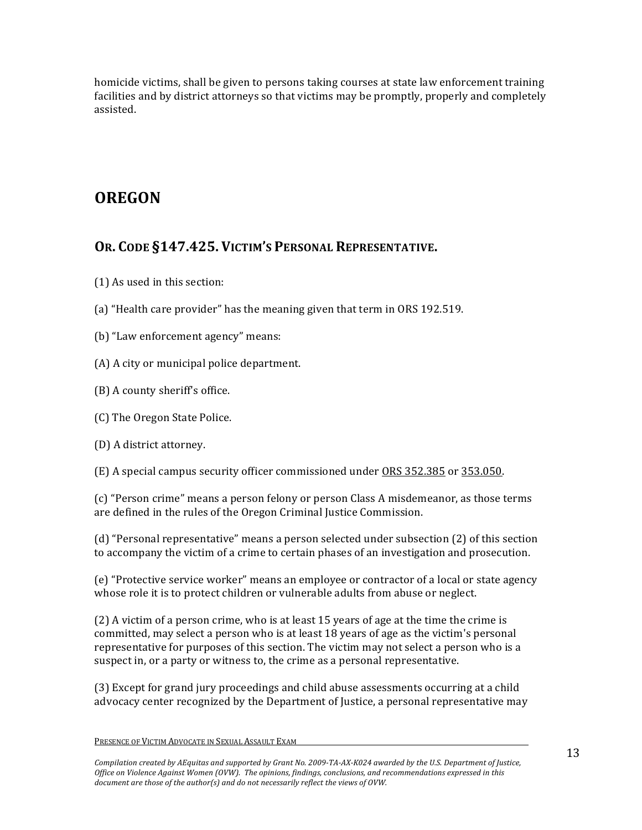homicide victims, shall be given to persons taking courses at state law enforcement training facilities and by district attorneys so that victims may be promptly, properly and completely assisted.

# **OREGON**

### **OR. CODE)§147.425. VICTIM'S)PERSONAL)REPRESENTATIVE.**

- $(1)$  As used in this section:
- (a) "Health care provider" has the meaning given that term in ORS 192.519.
- (b) "Law enforcement agency" means:
- $(A)$  A city or municipal police department.
- $(B)$  A county sheriff's office.
- (C) The Oregon State Police.
- (D) A district attorney.
- (E) A special campus security officer commissioned under ORS 352.385 or 353.050.

(c) "Person crime" means a person felony or person Class A misdemeanor, as those terms are defined in the rules of the Oregon Criminal Justice Commission.

(d) "Personal representative" means a person selected under subsection (2) of this section to accompany the victim of a crime to certain phases of an investigation and prosecution.

(e) "Protective service worker" means an employee or contractor of a local or state agency whose role it is to protect children or vulnerable adults from abuse or neglect.

(2) A victim of a person crime, who is at least  $15$  years of age at the time the crime is committed, may select a person who is at least 18 years of age as the victim's personal representative for purposes of this section. The victim may not select a person who is a suspect in, or a party or witness to, the crime as a personal representative.

 $(3)$  Except for grand jury proceedings and child abuse assessments occurring at a child advocacy center recognized by the Department of Justice, a personal representative may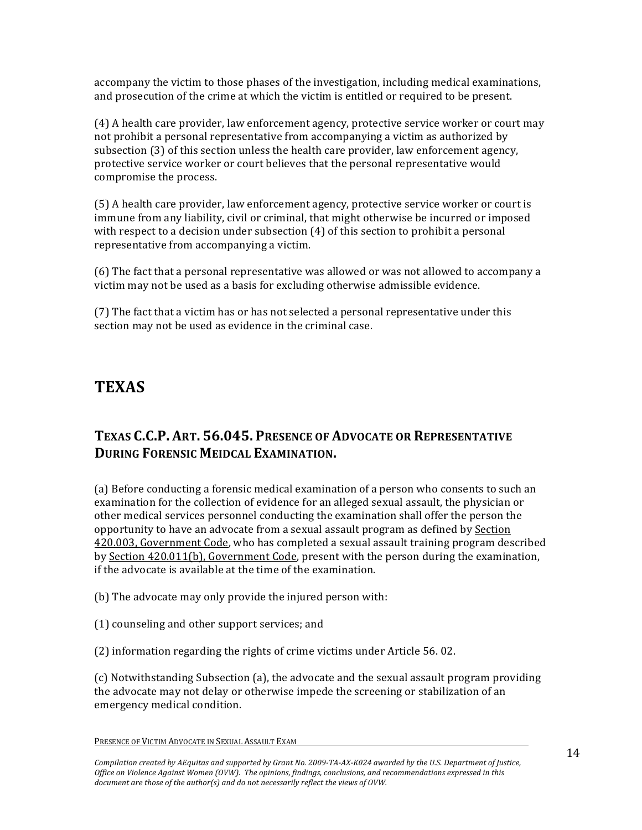accompany the victim to those phases of the investigation, including medical examinations, and prosecution of the crime at which the victim is entitled or required to be present.

 $(4)$  A health care provider, law enforcement agency, protective service worker or court may not prohibit a personal representative from accompanying a victim as authorized by subsection (3) of this section unless the health care provider, law enforcement agency, protective service worker or court believes that the personal representative would compromise the process.

 $(5)$  A health care provider, law enforcement agency, protective service worker or court is immune from any liability, civil or criminal, that might otherwise be incurred or imposed with respect to a decision under subsection  $(4)$  of this section to prohibit a personal representative from accompanying a victim.

(6) The fact that a personal representative was allowed or was not allowed to accompany a victim may not be used as a basis for excluding otherwise admissible evidence.

 $(7)$  The fact that a victim has or has not selected a personal representative under this section may not be used as evidence in the criminal case.

# **TEXAS**

### **TEXAS C.C.P. ART. 56.045. PRESENCE OF ADVOCATE OR REPRESENTATIVE DURING FORENSIC MEIDCAL EXAMINATION.**

(a) Before conducting a forensic medical examination of a person who consents to such an examination for the collection of evidence for an alleged sexual assault, the physician or other medical services personnel conducting the examination shall offer the person the opportunity to have an advocate from a sexual assault program as defined by Section 420.003, Government Code, who has completed a sexual assault training program described by Section  $420.011(b)$ , Government Code, present with the person during the examination, if the advocate is available at the time of the examination.

(b) The advocate may only provide the injured person with:

 $(1)$  counseling and other support services; and

(2) information regarding the rights of crime victims under Article  $56.02$ .

(c) Notwithstanding Subsection (a), the advocate and the sexual assault program providing the advocate may not delay or otherwise impede the screening or stabilization of an emergency medical condition.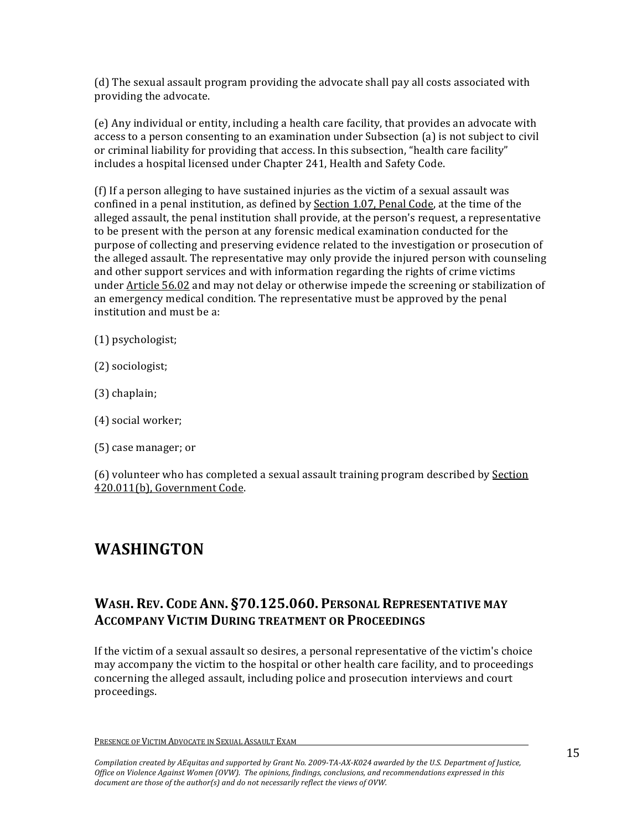(d) The sexual assault program providing the advocate shall pay all costs associated with providing the advocate.

(e) Any individual or entity, including a health care facility, that provides an advocate with access to a person consenting to an examination under Subsection (a) is not subject to civil or criminal liability for providing that access. In this subsection, "health care facility" includes a hospital licensed under Chapter 241, Health and Safety Code.

(f) If a person alleging to have sustained injuries as the victim of a sexual assault was confined in a penal institution, as defined by Section 1.07, Penal Code, at the time of the alleged assault, the penal institution shall provide, at the person's request, a representative to be present with the person at any forensic medical examination conducted for the purpose of collecting and preserving evidence related to the investigation or prosecution of the alleged assault. The representative may only provide the injured person with counseling and other support services and with information regarding the rights of crime victims under Article 56.02 and may not delay or otherwise impede the screening or stabilization of an emergency medical condition. The representative must be approved by the penal institution and must be a:

(1) psychologist;

- $(2)$  sociologist;
- (3) chaplain;
- $(4)$  social worker;
- $(5)$  case manager; or

 $(6)$  volunteer who has completed a sexual assault training program described by Section 420.011(b), Government Code.

## **WASHINGTON**

#### **WASH. REV. CODE ANN. §70.125.060. PERSONAL REPRESENTATIVE MAY ACCOMPANY VICTIM DURING TREATMENT OR PROCEEDINGS**

If the victim of a sexual assault so desires, a personal representative of the victim's choice may accompany the victim to the hospital or other health care facility, and to proceedings concerning the alleged assault, including police and prosecution interviews and court proceedings.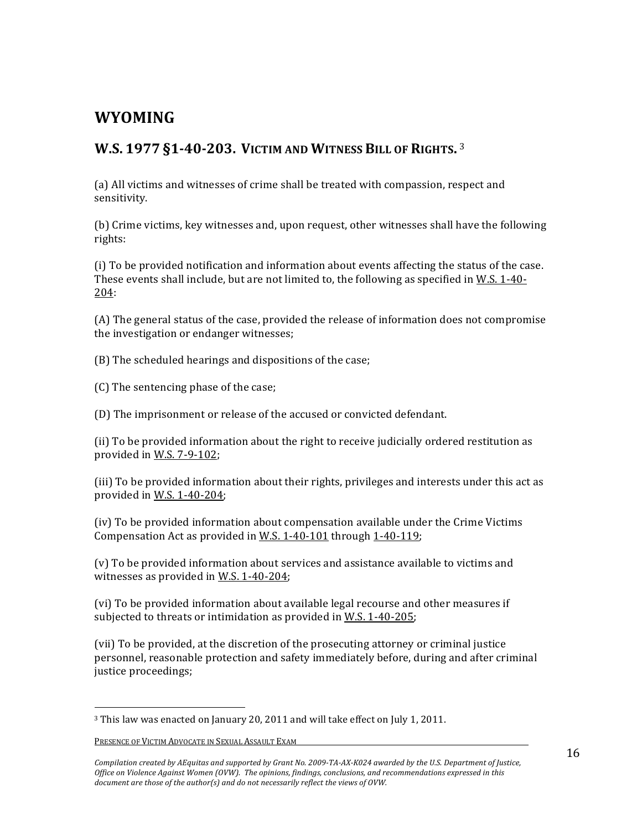# **WYOMING**

### **W.S. 1977 §1-40-203. VICTIM AND WITNESS BILL OF RIGHTS.** 3

(a) All victims and witnesses of crime shall be treated with compassion, respect and sensitivity.

(b) Crime victims, key witnesses and, upon request, other witnesses shall have the following rights:

(i) To be provided notification and information about events affecting the status of the case. These events shall include, but are not limited to, the following as specified in W.S. 1-40-204:(

(A) The general status of the case, provided the release of information does not compromise the investigation or endanger witnesses;

(B) The scheduled hearings and dispositions of the case;

(C) The sentencing phase of the case;

(D) The imprisonment or release of the accused or convicted defendant.

(ii) To be provided information about the right to receive judicially ordered restitution as provided in W.S.  $7-9-102$ ;

(iii) To be provided information about their rights, privileges and interests under this act as provided in W.S.  $1-40-204$ ;

 $(iv)$  To be provided information about compensation available under the Crime Victims Compensation Act as provided in W.S.  $1-40-101$  through  $1-40-119$ ;

(v) To be provided information about services and assistance available to victims and witnesses as provided in W.S.  $1-40-204$ ;

(vi) To be provided information about available legal recourse and other measures if subjected to threats or intimidation as provided in W.S.  $1-40-205$ ;

(vii) To be provided, at the discretion of the prosecuting attorney or criminal justice personnel, reasonable protection and safety immediately before, during and after criminal justice proceedings;

(((((((((((((((((((((((((((((((((((((((((((((((((((((((

<sup>&</sup>lt;sup>3</sup> This law was enacted on January 20, 2011 and will take effect on July 1, 2011.

PRESENCE OF VICTIM ADVOCATE IN SEXUAL ASSAULT EXAM

Compilation created by AEquitas and supported by Grant No. 2009-TA-AX-K024 awarded by the U.S. Department of Justice, *Office'on'Violence'Against'Women'(OVW).' The'opinions,'findings,'conclusions,'and'recommendations'expressed'in'this'* document are those of the author(s) and do not necessarily reflect the views of OVW.